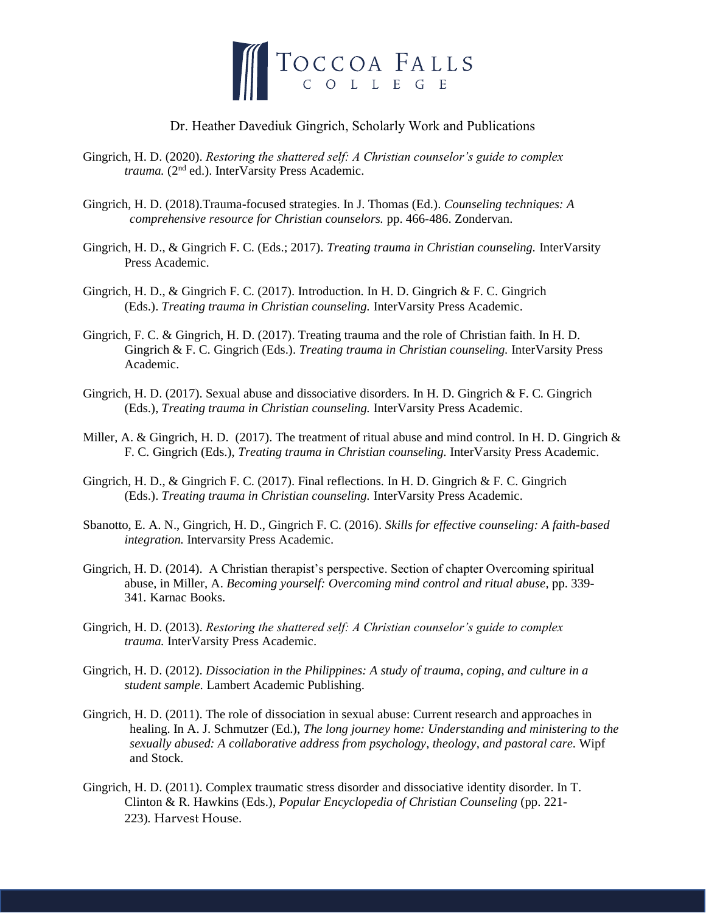

## Dr. Heather Davediuk Gingrich, Scholarly Work and Publications

- Gingrich, H. D. (2020). *Restoring the shattered self: A Christian counselor's guide to complex*  trauma. (2<sup>nd</sup> ed.). InterVarsity Press Academic.
- Gingrich, H. D. (2018).Trauma-focused strategies. In J. Thomas (Ed.). *Counseling techniques: A comprehensive resource for Christian counselors.* pp. 466-486. Zondervan.
- Gingrich, H. D., & Gingrich F. C. (Eds.; 2017). *Treating trauma in Christian counseling.* InterVarsity Press Academic.
- Gingrich, H. D., & Gingrich F. C. (2017). Introduction. In H. D. Gingrich & F. C. Gingrich (Eds.). *Treating trauma in Christian counseling.* InterVarsity Press Academic.
- Gingrich, F. C. & Gingrich, H. D. (2017). Treating trauma and the role of Christian faith. In H. D. Gingrich & F. C. Gingrich (Eds.). *Treating trauma in Christian counseling.* InterVarsity Press Academic.
- Gingrich, H. D. (2017). Sexual abuse and dissociative disorders. In H. D. Gingrich & F. C. Gingrich (Eds.), *Treating trauma in Christian counseling.* InterVarsity Press Academic.
- Miller, A. & Gingrich, H. D. (2017). The treatment of ritual abuse and mind control. In H. D. Gingrich  $\&$ F. C. Gingrich (Eds.), *Treating trauma in Christian counseling.* InterVarsity Press Academic.
- Gingrich, H. D., & Gingrich F. C. (2017). Final reflections. In H. D. Gingrich & F. C. Gingrich (Eds.). *Treating trauma in Christian counseling.* InterVarsity Press Academic.
- Sbanotto, E. A. N., Gingrich, H. D., Gingrich F. C. (2016). *Skills for effective counseling: A faith-based integration.* Intervarsity Press Academic.
- Gingrich, H. D. (2014). A Christian therapist's perspective. Section of chapter Overcoming spiritual abuse, in Miller, A. *Becoming yourself: Overcoming mind control and ritual abuse,* pp. 339- 341*.* Karnac Books.
- Gingrich, H. D. (2013). *Restoring the shattered self: A Christian counselor's guide to complex trauma.* InterVarsity Press Academic.
- Gingrich, H. D. (2012). *Dissociation in the Philippines: A study of trauma, coping, and culture in a student sample.* Lambert Academic Publishing.
- Gingrich, H. D. (2011). The role of dissociation in sexual abuse: Current research and approaches in healing. In A. J. Schmutzer (Ed.), *The long journey home: Understanding and ministering to the sexually abused: A collaborative address from psychology, theology, and pastoral care.* Wipf and Stock.
- Gingrich, H. D. (2011). Complex traumatic stress disorder and dissociative identity disorder. In T. Clinton & R. Hawkins (Eds.), *Popular Encyclopedia of Christian Counseling* (pp. 221- 223)*.* Harvest House.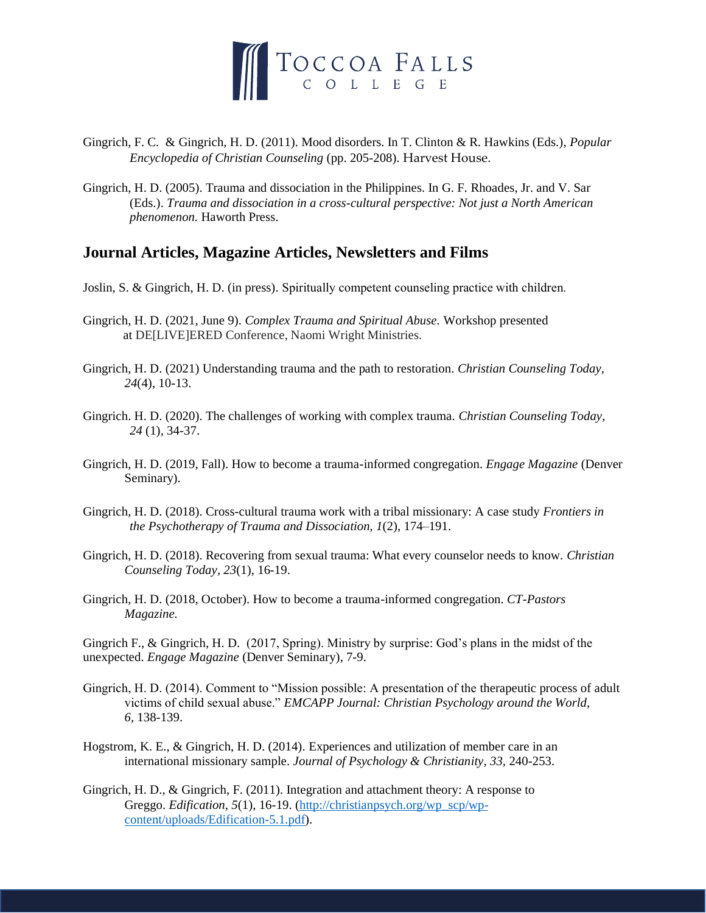

- Gingrich, F. C. & Gingrich, H. D. (2011). Mood disorders. In T. Clinton & R. Hawkins (Eds.), *Popular Encyclopedia of Christian Counseling* (pp. 205-208)*.* Harvest House.
- Gingrich, H. D. (2005). Trauma and dissociation in the Philippines. In G. F. Rhoades, Jr. and V. Sar (Eds.). *Trauma and dissociation in a cross-cultural perspective: Not just a North American phenomenon.* Haworth Press.

## **Journal Articles, Magazine Articles, Newsletters and Films**

- Joslin, S. & Gingrich, H. D. (in press). Spiritually competent counseling practice with children*.*
- Gingrich, H. D. (2021, June 9). *Complex Trauma and Spiritual Abuse.* Workshop presented at DE[LIVE]ERED Conference, Naomi Wright Ministries.
- Gingrich, H. D. (2021) Understanding trauma and the path to restoration. *Christian Counseling Today, 24*(4), 10-13.
- Gingrich. H. D. (2020). The challenges of working with complex trauma. *Christian Counseling Today, 24* (1)*,* 34-37.
- Gingrich, H. D. (2019, Fall). How to become a trauma-informed congregation. *Engage Magazine* (Denver Seminary).
- Gingrich, H. D. (2018). Cross-cultural trauma work with a tribal missionary: A case study *Frontiers in the Psychotherapy of Trauma and Dissociation*, *1*(2), 174–191.
- Gingrich, H. D. (2018). Recovering from sexual trauma: What every counselor needs to know. *Christian Counseling Today, 23*(1), 16-19.
- Gingrich, H. D. (2018, October). How to become a trauma-informed congregation. *CT-Pastors Magazine.*

Gingrich F., & Gingrich, H. D. (2017, Spring). Ministry by surprise: God's plans in the midst of the unexpected. *Engage Magazine* (Denver Seminary), 7-9.

- Gingrich, H. D. (2014). Comment to "Mission possible: A presentation of the therapeutic process of adult victims of child sexual abuse." *EMCAPP Journal: Christian Psychology around the World, 6,* 138-139.
- Hogstrom, K. E., & Gingrich, H. D. (2014). Experiences and utilization of member care in an international missionary sample. *Journal of Psychology & Christianity, 33,* 240-253.
- Gingrich, H. D., & Gingrich, F. (2011). Integration and attachment theory: A response to Greggo. *Edification*, 5(1), 16-19. [\(http://christianpsych.org/wp\\_scp/wp](http://christianpsych.org/wp_scp/wp-content/uploads/Edification-5.1.pdf)[content/uploads/Edification-5.1.pdf\)](http://christianpsych.org/wp_scp/wp-content/uploads/Edification-5.1.pdf).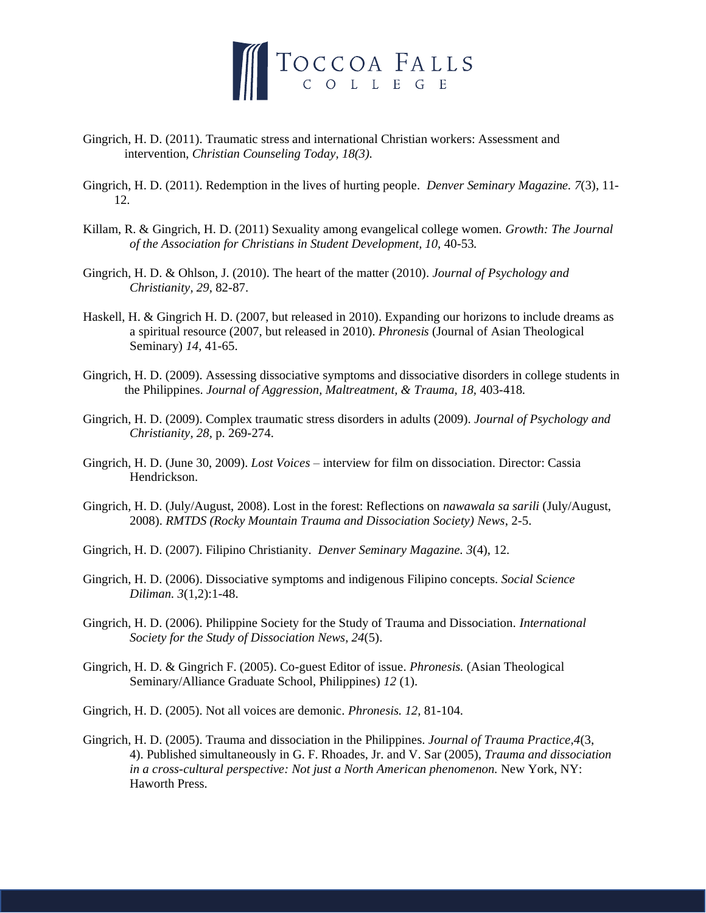

- Gingrich, H. D. (2011). Traumatic stress and international Christian workers: Assessment and intervention, *Christian Counseling Today, 18(3).*
- Gingrich, H. D. (2011). Redemption in the lives of hurting people. *Denver Seminary Magazine. 7*(3), 11- 12.
- Killam, R. & Gingrich, H. D. (2011) Sexuality among evangelical college women. *Growth: The Journal of the Association for Christians in Student Development, 10,* 40-53*.*
- Gingrich, H. D. & Ohlson, J. (2010). The heart of the matter (2010). *Journal of Psychology and Christianity, 29,* 82-87.
- Haskell, H. & Gingrich H. D. (2007, but released in 2010). Expanding our horizons to include dreams as a spiritual resource (2007, but released in 2010). *Phronesis* (Journal of Asian Theological Seminary) *14,* 41-65.
- Gingrich, H. D. (2009). Assessing dissociative symptoms and dissociative disorders in college students in the Philippines. *Journal of Aggression, Maltreatment, & Trauma, 18,* 403-418*.*
- Gingrich, H. D. (2009). Complex traumatic stress disorders in adults (2009). *Journal of Psychology and Christianity, 28,* p. 269-274.
- Gingrich, H. D. (June 30, 2009). *Lost Voices* interview for film on dissociation. Director: Cassia Hendrickson.
- Gingrich, H. D. (July/August, 2008). Lost in the forest: Reflections on *nawawala sa sarili* (July/August, 2008). *RMTDS (Rocky Mountain Trauma and Dissociation Society) News*, 2-5.
- Gingrich, H. D. (2007). Filipino Christianity. *Denver Seminary Magazine. 3*(4), 12.
- Gingrich, H. D. (2006). Dissociative symptoms and indigenous Filipino concepts. *Social Science Diliman. 3*(1,2):1-48.
- Gingrich, H. D. (2006). Philippine Society for the Study of Trauma and Dissociation. *International Society for the Study of Dissociation News, 24*(5).
- Gingrich, H. D. & Gingrich F. (2005). Co-guest Editor of issue. *Phronesis.* (Asian Theological Seminary/Alliance Graduate School, Philippines) *12* (1).
- Gingrich, H. D. (2005). Not all voices are demonic. *Phronesis. 12,* 81-104.
- Gingrich, H. D. (2005). Trauma and dissociation in the Philippines. *Journal of Trauma Practice,4*(3, 4). Published simultaneously in G. F. Rhoades, Jr. and V. Sar (2005), *Trauma and dissociation in a cross-cultural perspective: Not just a North American phenomenon.* New York, NY: Haworth Press.